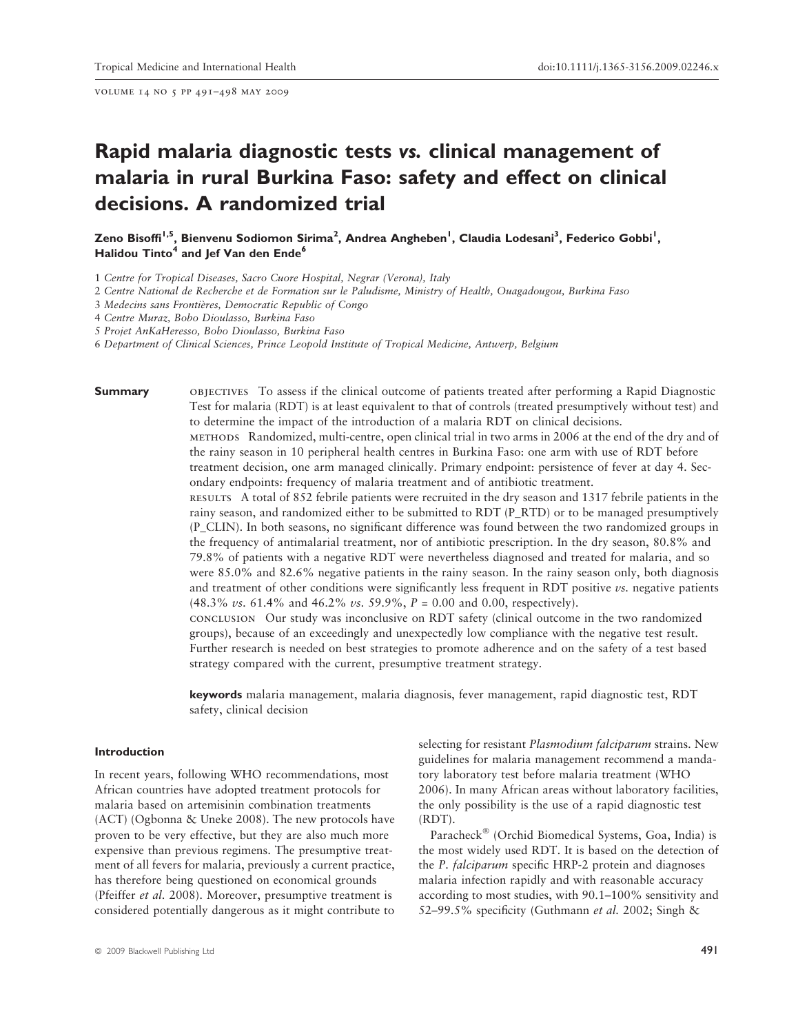volume 14 no 5 pp 491–498 may 2009

# Rapid malaria diagnostic tests vs. clinical management of malaria in rural Burkina Faso: safety and effect on clinical decisions. A randomized trial

 $\mathsf{Zero}$  Bisoffi $^{1,5}$ , Bienvenu Sodiomon Sirima $^2$ , Andrea Angheben $^{\mathsf{I}}$ , Claudia Lodesani $^3$ , Federico Gobbi $^{\mathsf{I}},$ Halidou Tinto<sup>4</sup> and Jef Van den Ende<sup>6</sup>

1 Centre for Tropical Diseases, Sacro Cuore Hospital, Negrar (Verona), Italy

2 Centre National de Recherche et de Formation sur le Paludisme, Ministry of Health, Ouagadougou, Burkina Faso

3 Medecins sans Frontières, Democratic Republic of Congo

4 Centre Muraz, Bobo Dioulasso, Burkina Faso

5 Projet AnKaHeresso, Bobo Dioulasso, Burkina Faso

6 Department of Clinical Sciences, Prince Leopold Institute of Tropical Medicine, Antwerp, Belgium

**Summary objectives** To assess if the clinical outcome of patients treated after performing a Rapid Diagnostic Test for malaria (RDT) is at least equivalent to that of controls (treated presumptively without test) and to determine the impact of the introduction of a malaria RDT on clinical decisions. methods Randomized, multi-centre, open clinical trial in two arms in 2006 at the end of the dry and of the rainy season in 10 peripheral health centres in Burkina Faso: one arm with use of RDT before treatment decision, one arm managed clinically. Primary endpoint: persistence of fever at day 4. Secondary endpoints: frequency of malaria treatment and of antibiotic treatment.

results A total of 852 febrile patients were recruited in the dry season and 1317 febrile patients in the rainy season, and randomized either to be submitted to RDT (P\_RTD) or to be managed presumptively (P\_CLIN). In both seasons, no significant difference was found between the two randomized groups in the frequency of antimalarial treatment, nor of antibiotic prescription. In the dry season, 80.8% and 79.8% of patients with a negative RDT were nevertheless diagnosed and treated for malaria, and so were 85.0% and 82.6% negative patients in the rainy season. In the rainy season only, both diagnosis and treatment of other conditions were significantly less frequent in RDT positive  $\nu s$ . negative patients (48.3% *vs.* 61.4% and 46.2% *vs.* 59.9%,  $P = 0.00$  and 0.00, respectively).

conclusion Our study was inconclusive on RDT safety (clinical outcome in the two randomized groups), because of an exceedingly and unexpectedly low compliance with the negative test result. Further research is needed on best strategies to promote adherence and on the safety of a test based strategy compared with the current, presumptive treatment strategy.

keywords malaria management, malaria diagnosis, fever management, rapid diagnostic test, RDT safety, clinical decision

### Introduction

In recent years, following WHO recommendations, most African countries have adopted treatment protocols for malaria based on artemisinin combination treatments (ACT) (Ogbonna & Uneke 2008). The new protocols have proven to be very effective, but they are also much more expensive than previous regimens. The presumptive treatment of all fevers for malaria, previously a current practice, has therefore being questioned on economical grounds (Pfeiffer et al. 2008). Moreover, presumptive treatment is considered potentially dangerous as it might contribute to

guidelines for malaria management recommend a mandatory laboratory test before malaria treatment (WHO 2006). In many African areas without laboratory facilities, the only possibility is the use of a rapid diagnostic test (RDT). Paracheck® (Orchid Biomedical Systems, Goa, India) is

the most widely used RDT. It is based on the detection of the P. falciparum specific HRP-2 protein and diagnoses malaria infection rapidly and with reasonable accuracy according to most studies, with 90.1–100% sensitivity and 52–99.5% specificity (Guthmann et al. 2002; Singh &

selecting for resistant Plasmodium falciparum strains. New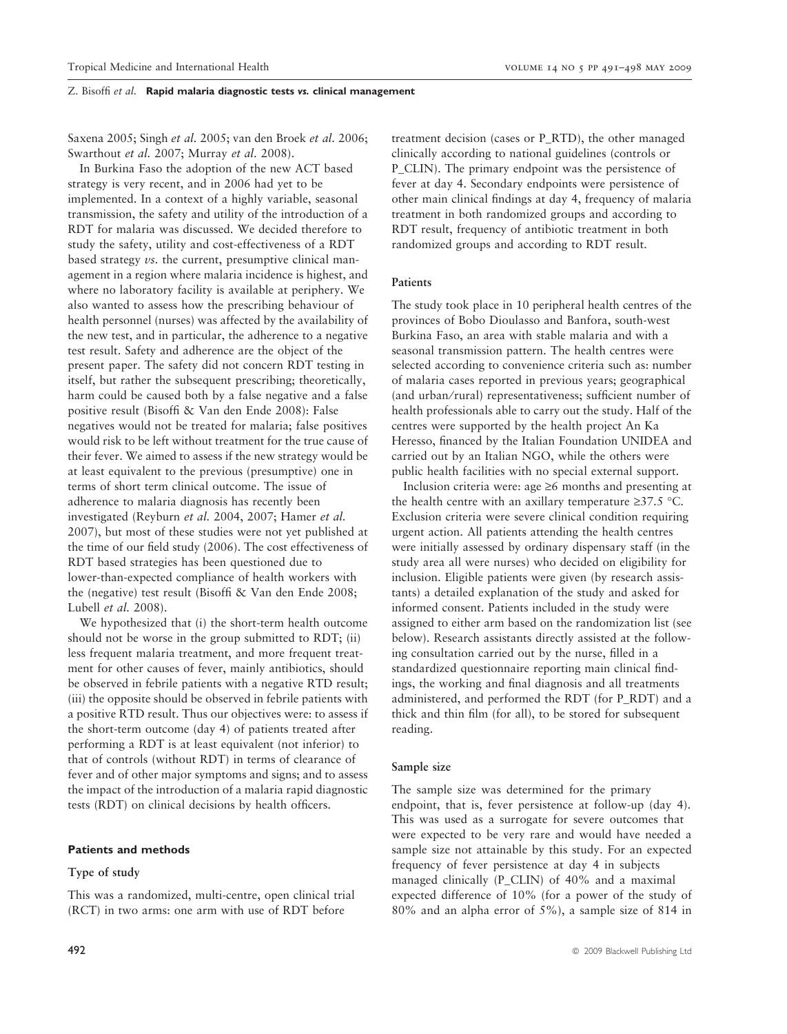Saxena 2005; Singh et al. 2005; van den Broek et al. 2006; Swarthout et al. 2007; Murray et al. 2008).

In Burkina Faso the adoption of the new ACT based strategy is very recent, and in 2006 had yet to be implemented. In a context of a highly variable, seasonal transmission, the safety and utility of the introduction of a RDT for malaria was discussed. We decided therefore to study the safety, utility and cost-effectiveness of a RDT based strategy  $\nu$ s. the current, presumptive clinical management in a region where malaria incidence is highest, and where no laboratory facility is available at periphery. We also wanted to assess how the prescribing behaviour of health personnel (nurses) was affected by the availability of the new test, and in particular, the adherence to a negative test result. Safety and adherence are the object of the present paper. The safety did not concern RDT testing in itself, but rather the subsequent prescribing; theoretically, harm could be caused both by a false negative and a false positive result (Bisoffi & Van den Ende 2008): False negatives would not be treated for malaria; false positives would risk to be left without treatment for the true cause of their fever. We aimed to assess if the new strategy would be at least equivalent to the previous (presumptive) one in terms of short term clinical outcome. The issue of adherence to malaria diagnosis has recently been investigated (Reyburn et al. 2004, 2007; Hamer et al. 2007), but most of these studies were not yet published at the time of our field study (2006). The cost effectiveness of RDT based strategies has been questioned due to lower-than-expected compliance of health workers with the (negative) test result (Bisoffi & Van den Ende 2008; Lubell et al. 2008).

We hypothesized that (i) the short-term health outcome should not be worse in the group submitted to RDT; (ii) less frequent malaria treatment, and more frequent treatment for other causes of fever, mainly antibiotics, should be observed in febrile patients with a negative RTD result; (iii) the opposite should be observed in febrile patients with a positive RTD result. Thus our objectives were: to assess if the short-term outcome (day 4) of patients treated after performing a RDT is at least equivalent (not inferior) to that of controls (without RDT) in terms of clearance of fever and of other major symptoms and signs; and to assess the impact of the introduction of a malaria rapid diagnostic tests (RDT) on clinical decisions by health officers.

# Patients and methods

#### Type of study

This was a randomized, multi-centre, open clinical trial (RCT) in two arms: one arm with use of RDT before

treatment decision (cases or P\_RTD), the other managed clinically according to national guidelines (controls or P\_CLIN). The primary endpoint was the persistence of fever at day 4. Secondary endpoints were persistence of other main clinical findings at day 4, frequency of malaria treatment in both randomized groups and according to RDT result, frequency of antibiotic treatment in both randomized groups and according to RDT result.

#### Patients

The study took place in 10 peripheral health centres of the provinces of Bobo Dioulasso and Banfora, south-west Burkina Faso, an area with stable malaria and with a seasonal transmission pattern. The health centres were selected according to convenience criteria such as: number of malaria cases reported in previous years; geographical (and urban/rural) representativeness; sufficient number of health professionals able to carry out the study. Half of the centres were supported by the health project An Ka Heresso, financed by the Italian Foundation UNIDEA and carried out by an Italian NGO, while the others were public health facilities with no special external support.

Inclusion criteria were: age  $\geq 6$  months and presenting at the health centre with an axillary temperature  $\geq 37.5$  °C. Exclusion criteria were severe clinical condition requiring urgent action. All patients attending the health centres were initially assessed by ordinary dispensary staff (in the study area all were nurses) who decided on eligibility for inclusion. Eligible patients were given (by research assistants) a detailed explanation of the study and asked for informed consent. Patients included in the study were assigned to either arm based on the randomization list (see below). Research assistants directly assisted at the following consultation carried out by the nurse, filled in a standardized questionnaire reporting main clinical findings, the working and final diagnosis and all treatments administered, and performed the RDT (for P\_RDT) and a thick and thin film (for all), to be stored for subsequent reading.

#### Sample size

The sample size was determined for the primary endpoint, that is, fever persistence at follow-up (day 4). This was used as a surrogate for severe outcomes that were expected to be very rare and would have needed a sample size not attainable by this study. For an expected frequency of fever persistence at day 4 in subjects managed clinically (P\_CLIN) of 40% and a maximal expected difference of 10% (for a power of the study of 80% and an alpha error of 5%), a sample size of 814 in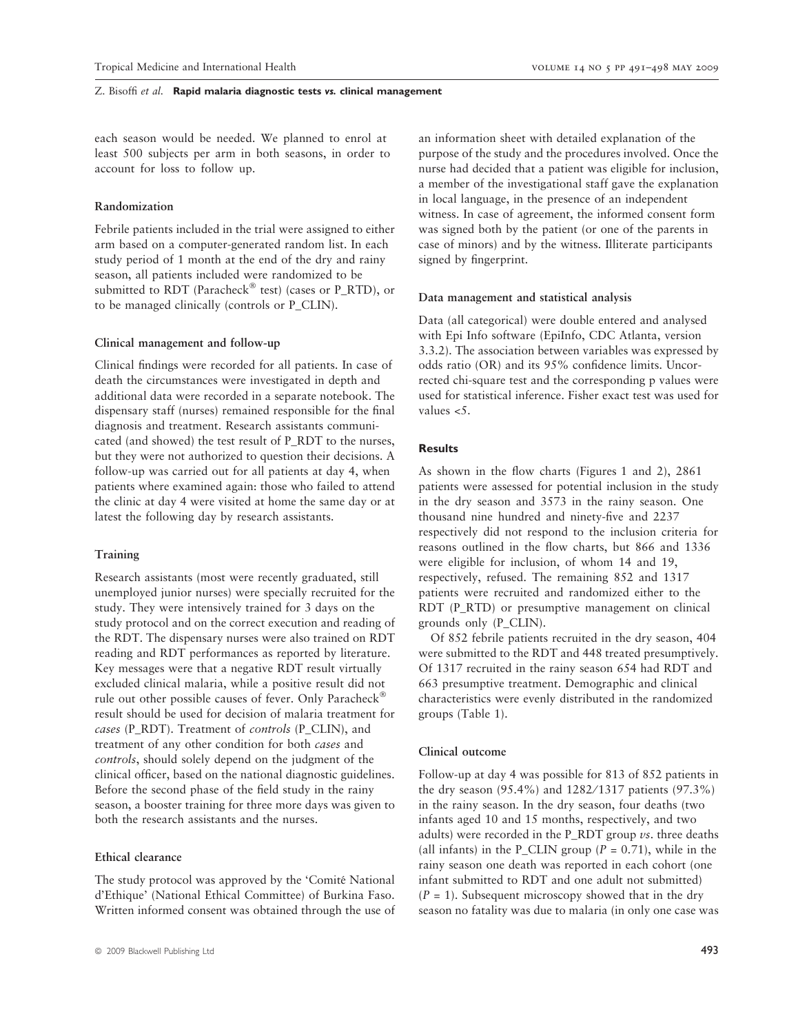each season would be needed. We planned to enrol at least 500 subjects per arm in both seasons, in order to account for loss to follow up.

# Randomization

Febrile patients included in the trial were assigned to either arm based on a computer-generated random list. In each study period of 1 month at the end of the dry and rainy season, all patients included were randomized to be submitted to RDT (Paracheck® test) (cases or P\_RTD), or to be managed clinically (controls or P\_CLIN).

#### Clinical management and follow-up

Clinical findings were recorded for all patients. In case of death the circumstances were investigated in depth and additional data were recorded in a separate notebook. The dispensary staff (nurses) remained responsible for the final diagnosis and treatment. Research assistants communicated (and showed) the test result of P\_RDT to the nurses, but they were not authorized to question their decisions. A follow-up was carried out for all patients at day 4, when patients where examined again: those who failed to attend the clinic at day 4 were visited at home the same day or at latest the following day by research assistants.

#### Training

Research assistants (most were recently graduated, still unemployed junior nurses) were specially recruited for the study. They were intensively trained for 3 days on the study protocol and on the correct execution and reading of the RDT. The dispensary nurses were also trained on RDT reading and RDT performances as reported by literature. Key messages were that a negative RDT result virtually excluded clinical malaria, while a positive result did not rule out other possible causes of fever. Only Paracheck® result should be used for decision of malaria treatment for cases (P\_RDT). Treatment of controls (P\_CLIN), and treatment of any other condition for both cases and controls, should solely depend on the judgment of the clinical officer, based on the national diagnostic guidelines. Before the second phase of the field study in the rainy season, a booster training for three more days was given to both the research assistants and the nurses.

#### Ethical clearance

The study protocol was approved by the 'Comité National d'Ethique' (National Ethical Committee) of Burkina Faso. Written informed consent was obtained through the use of

an information sheet with detailed explanation of the purpose of the study and the procedures involved. Once the nurse had decided that a patient was eligible for inclusion, a member of the investigational staff gave the explanation in local language, in the presence of an independent witness. In case of agreement, the informed consent form was signed both by the patient (or one of the parents in case of minors) and by the witness. Illiterate participants signed by fingerprint.

# Data management and statistical analysis

Data (all categorical) were double entered and analysed with Epi Info software (EpiInfo, CDC Atlanta, version 3.3.2). The association between variables was expressed by odds ratio (OR) and its 95% confidence limits. Uncorrected chi-square test and the corresponding p values were used for statistical inference. Fisher exact test was used for values  $< 5$ .

#### **Results**

As shown in the flow charts (Figures 1 and 2), 2861 patients were assessed for potential inclusion in the study in the dry season and 3573 in the rainy season. One thousand nine hundred and ninety-five and 2237 respectively did not respond to the inclusion criteria for reasons outlined in the flow charts, but 866 and 1336 were eligible for inclusion, of whom 14 and 19, respectively, refused. The remaining 852 and 1317 patients were recruited and randomized either to the RDT (P\_RTD) or presumptive management on clinical grounds only (P\_CLIN).

Of 852 febrile patients recruited in the dry season, 404 were submitted to the RDT and 448 treated presumptively. Of 1317 recruited in the rainy season 654 had RDT and 663 presumptive treatment. Demographic and clinical characteristics were evenly distributed in the randomized groups (Table 1).

# Clinical outcome

Follow-up at day 4 was possible for 813 of 852 patients in the dry season  $(95.4\%)$  and  $1282/1317$  patients  $(97.3\%)$ in the rainy season. In the dry season, four deaths (two infants aged 10 and 15 months, respectively, and two adults) were recorded in the  $P\_RDT$  group  $\nu s$ . three deaths (all infants) in the P\_CLIN group ( $P = 0.71$ ), while in the rainy season one death was reported in each cohort (one infant submitted to RDT and one adult not submitted)  $(P = 1)$ . Subsequent microscopy showed that in the dry season no fatality was due to malaria (in only one case was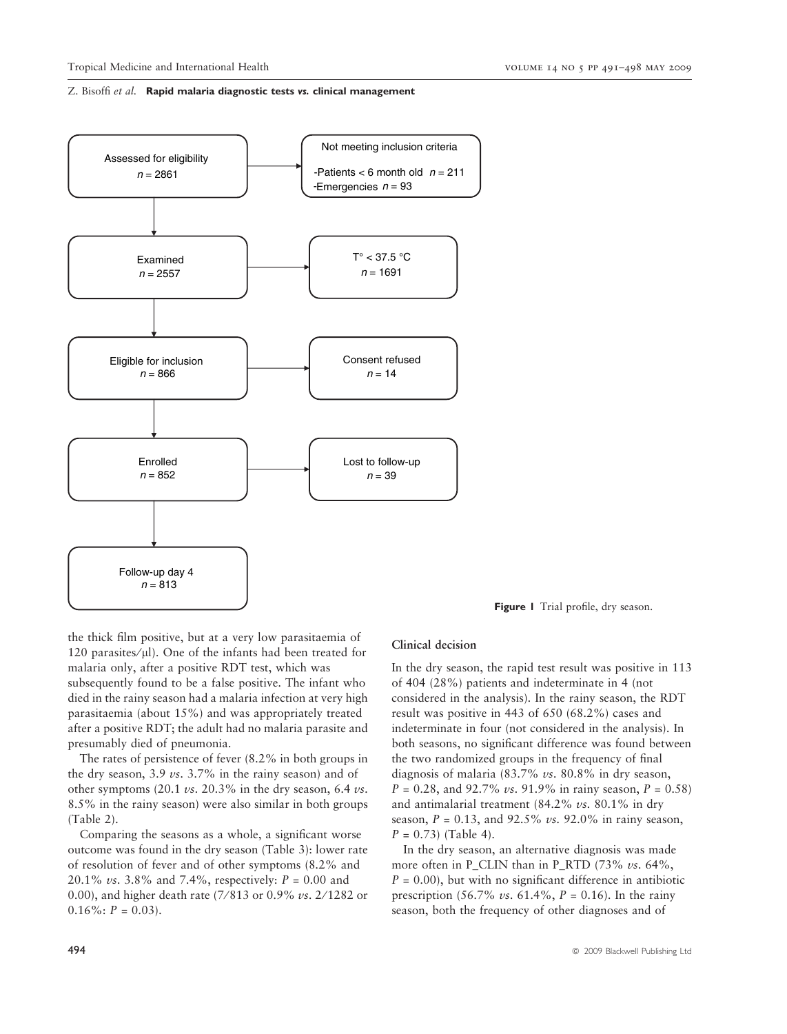

Figure 1 Trial profile, dry season.

the thick film positive, but at a very low parasitaemia of 120 parasites/ $\mu$ l). One of the infants had been treated for malaria only, after a positive RDT test, which was subsequently found to be a false positive. The infant who died in the rainy season had a malaria infection at very high parasitaemia (about 15%) and was appropriately treated after a positive RDT; the adult had no malaria parasite and presumably died of pneumonia.

The rates of persistence of fever (8.2% in both groups in the dry season,  $3.9 \text{ vs. } 3.7\%$  in the rainy season) and of other symptoms  $(20.1 \text{ vs. } 20.3\% \text{ in the dry season}, 6.4 \text{ vs. } 20.3\% \text{ in the day season}, 6.4 \text{ vs. } 20.3\% \text{ in the day season}, 6.4 \text{ vs. } 20.3\% \text{ in the day season}, 6.4 \text{ vs. } 20.3\% \text{ in the day season}, 6.4 \text{ vs. } 20.3\% \text{ in the day season}, 6.4 \text{ vs. } 20.3\% \text{ in the day season}, 6.4 \text{ vs. } 20.3\% \text{ in the day season}, 6.4$ 8.5% in the rainy season) were also similar in both groups (Table 2).

Comparing the seasons as a whole, a significant worse outcome was found in the dry season (Table 3): lower rate of resolution of fever and of other symptoms (8.2% and 20.1% *vs.* 3.8% and 7.4%, respectively:  $P = 0.00$  and 0.00), and higher death rate (7/813 or 0.9% vs. 2/1282 or  $0.16\%$ :  $P = 0.03$ ).

# Clinical decision

In the dry season, the rapid test result was positive in 113 of 404 (28%) patients and indeterminate in 4 (not considered in the analysis). In the rainy season, the RDT result was positive in 443 of 650 (68.2%) cases and indeterminate in four (not considered in the analysis). In both seasons, no significant difference was found between the two randomized groups in the frequency of final diagnosis of malaria (83.7% vs. 80.8% in dry season,  $P = 0.28$ , and 92.7% *vs.* 91.9% in rainy season,  $P = 0.58$ ) and antimalarial treatment (84.2% vs. 80.1% in dry season,  $P = 0.13$ , and 92.5% *vs.* 92.0% in rainy season,  $P = 0.73$ ) (Table 4).

In the dry season, an alternative diagnosis was made more often in P\_CLIN than in P\_RTD (73%  $vs. 64\%$ ,  $P = 0.00$ , but with no significant difference in antibiotic prescription (56.7% *vs.* 61.4%,  $P = 0.16$ ). In the rainy season, both the frequency of other diagnoses and of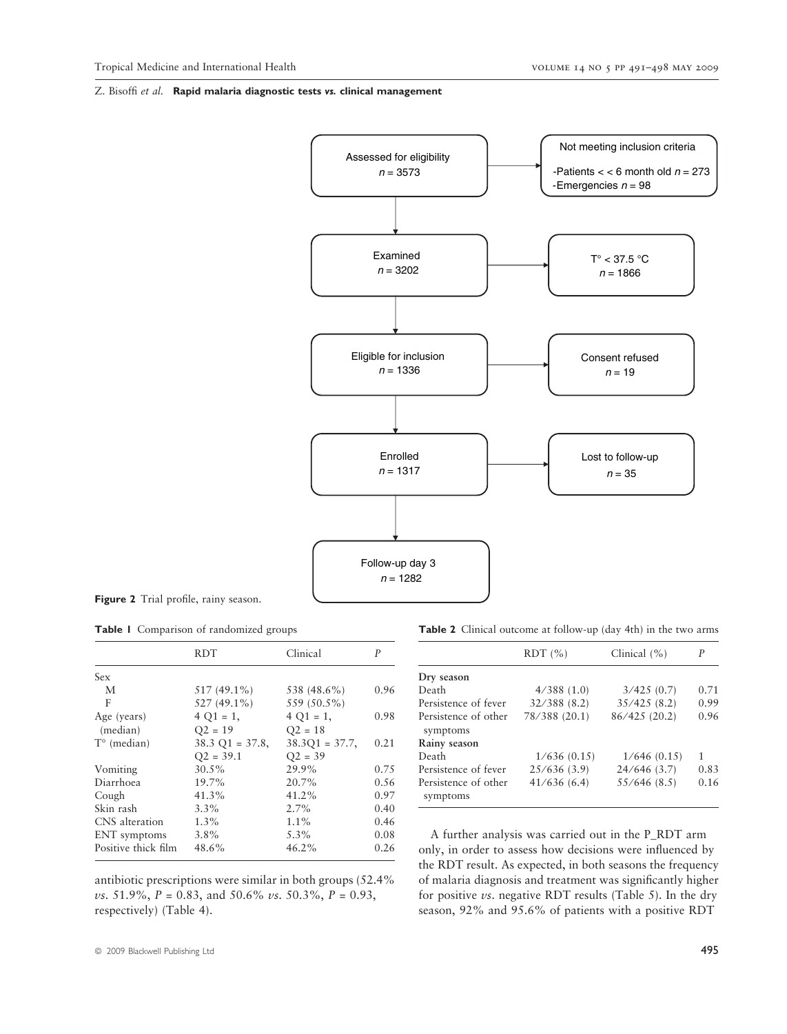

Figure 2 Trial profile, rainy season.

Table 1 Comparison of randomized groups

|                      | <b>RDT</b>        | Clinical        | P    |
|----------------------|-------------------|-----------------|------|
| Sex                  |                   |                 |      |
| M                    | 517 (49.1%)       | 538 (48.6%)     | 0.96 |
| F                    | 527 (49.1%)       | 559 (50.5%)     |      |
| Age (years)          | $4Q1 = 1$ ,       | $4Q1 = 1$ ,     | 0.98 |
| (median)             | $Q2 = 19$         | $Q2 = 18$       |      |
| $T^{\circ}$ (median) | $38.3$ Q1 = 37.8, | $38.3Q1 = 37.7$ | 0.21 |
|                      | $Q2 = 39.1$       | $Q2 = 39$       |      |
| Vomiting             | 30.5%             | 29.9%           | 0.75 |
| Diarrhoea            | 19.7%             | 20.7%           | 0.56 |
| Cough                | 41.3%             | 41.2%           | 0.97 |
| Skin rash            | $3.3\%$           | $2.7\%$         | 0.40 |
| CNS alteration       | $1.3\%$           | 1.1%            | 0.46 |
| <b>ENT</b> symptoms  | $3.8\%$           | 5.3%            | 0.08 |
| Positive thick film  | 48.6%             | 46.2%           | 0.26 |

Table 2 Clinical outcome at follow-up (day 4th) in the two arms

|                                  | RDT(%)        | Clinical $(\% )$ | P    |
|----------------------------------|---------------|------------------|------|
| Dry season                       |               |                  |      |
| Death                            | 4/388(1.0)    | 3/425(0.7)       | 0.71 |
| Persistence of fever             | 32/388(8.2)   | 35/425(8.2)      | 0.99 |
| Persistence of other<br>symptoms | 78/388 (20.1) | 86/425 (20.2)    | 0.96 |
| Rainy season                     |               |                  |      |
| Death                            | 1/636(0.15)   | 1/646(0.15)      | 1    |
| Persistence of fever             | 25/636(3.9)   | 24/646 (3.7)     | 0.83 |
| Persistence of other<br>symptoms | 41/636(6.4)   | 55/646 (8.5)     | 0.16 |

antibiotic prescriptions were similar in both groups (52.4% *vs.* 51.9%,  $P = 0.83$ , and 50.6% *vs.* 50.3%,  $P = 0.93$ , respectively) (Table 4).

A further analysis was carried out in the P\_RDT arm only, in order to assess how decisions were influenced by the RDT result. As expected, in both seasons the frequency of malaria diagnosis and treatment was significantly higher for positive  $vs.$  negative RDT results (Table 5). In the dry season, 92% and 95.6% of patients with a positive RDT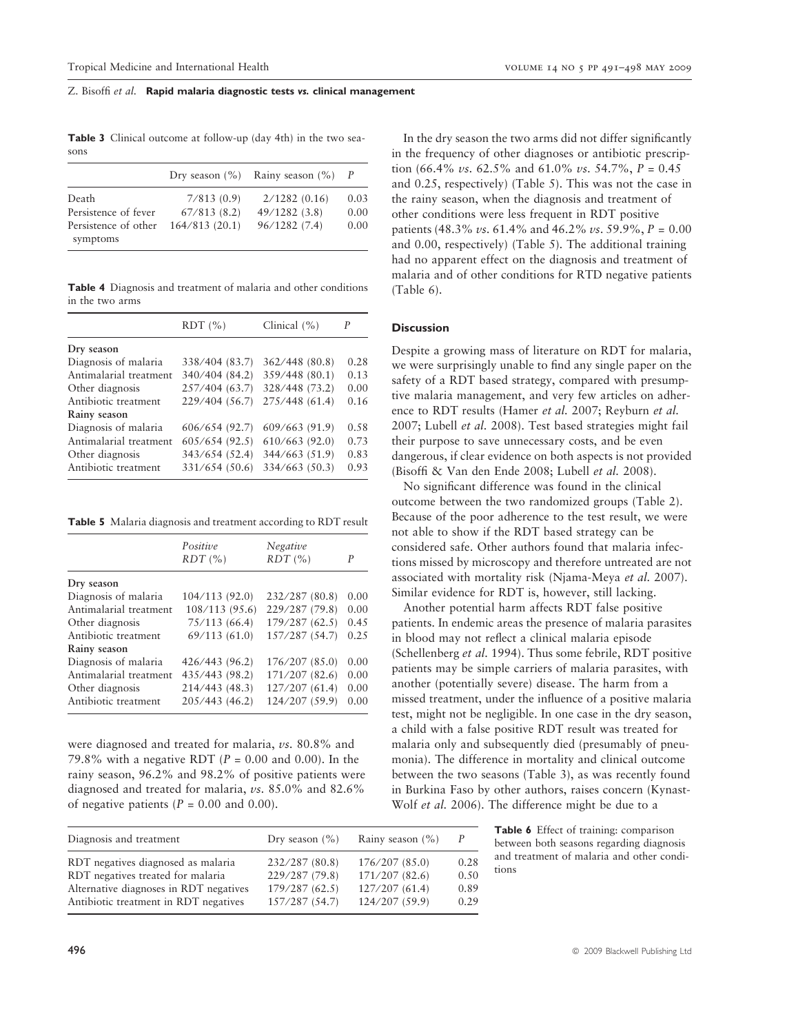Table 3 Clinical outcome at follow-up (day 4th) in the two seasons

|                                  |               | Dry season $(\%)$ Rainy season $(\%)$ |      |
|----------------------------------|---------------|---------------------------------------|------|
| Death                            | 7/813(0.9)    | 2/1282(0.16)                          | 0.03 |
| Persistence of fever             | 67/813(8.2)   | 49/1282(3.8)                          | 0.00 |
| Persistence of other<br>symptoms | 164/813(20.1) | 96/1282(7.4)                          | 0.00 |

Table 4 Diagnosis and treatment of malaria and other conditions in the two arms

|                        | RDT(%)         | Clinical $(\% )$ | P    |
|------------------------|----------------|------------------|------|
| Dry season             |                |                  |      |
| Diagnosis of malaria   | 338/404 (83.7) | 362/448 (80.8)   | 0.28 |
| Antimalarial treatment | 340/404 (84.2) | 359/448 (80.1)   | 0.13 |
| Other diagnosis        | 257/404 (63.7) | 328/448 (73.2)   | 0.00 |
| Antibiotic treatment   | 229/404 (56.7) | 275/448 (61.4)   | 0.16 |
| Rainy season           |                |                  |      |
| Diagnosis of malaria   | 606/654 (92.7) | 609/663 (91.9)   | 0.58 |
| Antimalarial treatment | 605/654(92.5)  | 610/663 (92.0)   | 0.73 |
| Other diagnosis        | 343/654 (52.4) | 344/663 (51.9)   | 0.83 |
| Antibiotic treatment   | 331/654 (50.6) | 334/663 (50.3)   | 0.93 |

Table 5 Malaria diagnosis and treatment according to RDT result

|                        | Positive<br>RDT(%) | Negative<br>RDT(%) | P    |
|------------------------|--------------------|--------------------|------|
| Dry season             |                    |                    |      |
| Diagnosis of malaria   | 104/113(92.0)      | 232/287 (80.8)     | 0.00 |
| Antimalarial treatment | 108/113 (95.6)     | 229/287 (79.8)     | 0.00 |
| Other diagnosis        | 75/113 (66.4)      | 179/287 (62.5)     | 0.45 |
| Antibiotic treatment   | 69/113(61.0)       | 157/287 (54.7)     | 0.25 |
| Rainy season           |                    |                    |      |
| Diagnosis of malaria   | 426/443 (96.2)     | 176/207(85.0)      | 0.00 |
| Antimalarial treatment | 435/443 (98.2)     | 171/207 (82.6)     | 0.00 |
| Other diagnosis        | 214/443 (48.3)     | 127/207 (61.4)     | 0.00 |
| Antibiotic treatment   | 205/443 (46.2)     | 124/207 (59.9)     | 0.00 |

were diagnosed and treated for malaria, vs. 80.8% and 79.8% with a negative RDT ( $P = 0.00$  and 0.00). In the rainy season, 96.2% and 98.2% of positive patients were diagnosed and treated for malaria, vs. 85.0% and 82.6% of negative patients ( $P = 0.00$  and 0.00).

| Diagnosis and treatment                | Dry season $(\% )$ | Rainy season $(\% )$ | P    |
|----------------------------------------|--------------------|----------------------|------|
| RDT negatives diagnosed as malaria     | 232/287 (80.8)     | 176/207(85.0)        | 0.28 |
| RDT negatives treated for malaria      | 229/287 (79.8)     | 171/207(82.6)        | 0.50 |
| Alternative diagnoses in RDT negatives | 179/287 (62.5)     | 127/207(61.4)        | 0.89 |
| Antibiotic treatment in RDT negatives  | 157/287 (54.7)     | 124/207(59.9)        | 0.29 |

In the dry season the two arms did not differ significantly in the frequency of other diagnoses or antibiotic prescription (66.4% *vs.* 62.5% and 61.0% *vs.* 54.7%,  $P = 0.45$ and 0.25, respectively) (Table 5). This was not the case in the rainy season, when the diagnosis and treatment of other conditions were less frequent in RDT positive patients (48.3% *vs.* 61.4% and 46.2% *vs.* 59.9%,  $P = 0.00$ and 0.00, respectively) (Table 5). The additional training had no apparent effect on the diagnosis and treatment of malaria and of other conditions for RTD negative patients (Table 6).

#### **Discussion**

Despite a growing mass of literature on RDT for malaria, we were surprisingly unable to find any single paper on the safety of a RDT based strategy, compared with presumptive malaria management, and very few articles on adherence to RDT results (Hamer et al. 2007; Reyburn et al. 2007; Lubell et al. 2008). Test based strategies might fail their purpose to save unnecessary costs, and be even dangerous, if clear evidence on both aspects is not provided (Bisoffi & Van den Ende 2008; Lubell et al. 2008).

No significant difference was found in the clinical outcome between the two randomized groups (Table 2). Because of the poor adherence to the test result, we were not able to show if the RDT based strategy can be considered safe. Other authors found that malaria infections missed by microscopy and therefore untreated are not associated with mortality risk (Njama-Meya et al. 2007). Similar evidence for RDT is, however, still lacking.

Another potential harm affects RDT false positive patients. In endemic areas the presence of malaria parasites in blood may not reflect a clinical malaria episode (Schellenberg et al. 1994). Thus some febrile, RDT positive patients may be simple carriers of malaria parasites, with another (potentially severe) disease. The harm from a missed treatment, under the influence of a positive malaria test, might not be negligible. In one case in the dry season, a child with a false positive RDT result was treated for malaria only and subsequently died (presumably of pneumonia). The difference in mortality and clinical outcome between the two seasons (Table 3), as was recently found in Burkina Faso by other authors, raises concern (Kynast-Wolf et al. 2006). The difference might be due to a

> Table 6 Effect of training: comparison between both seasons regarding diagnosis and treatment of malaria and other conditions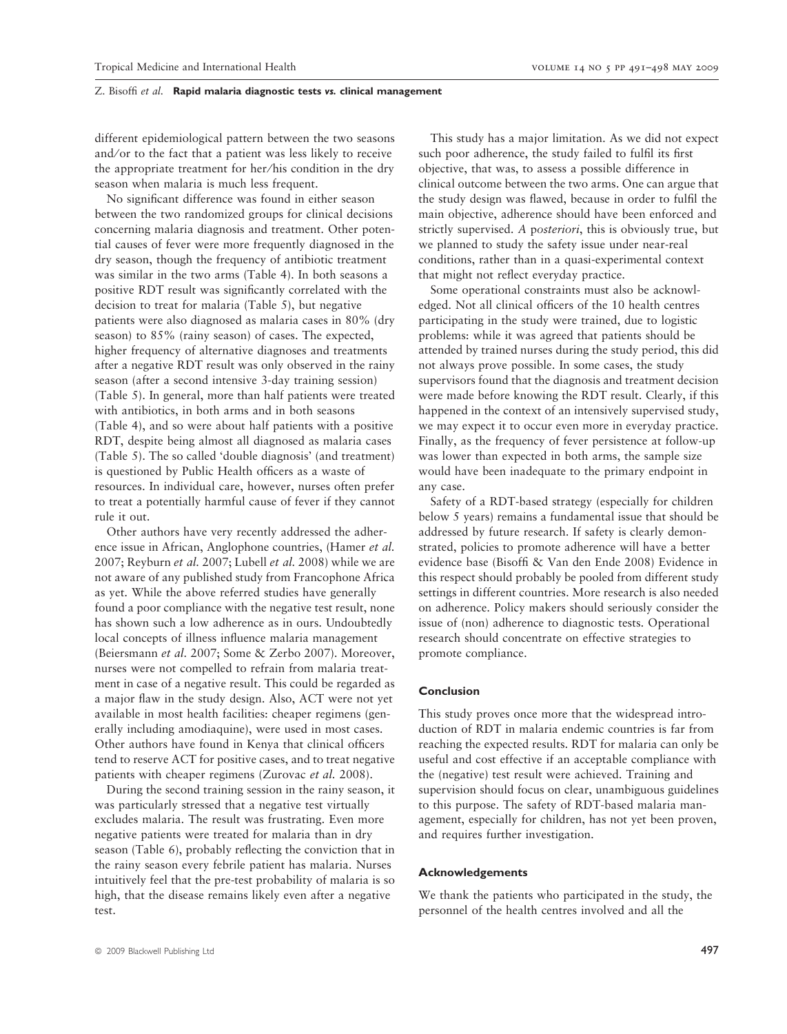different epidemiological pattern between the two seasons and/or to the fact that a patient was less likely to receive the appropriate treatment for her⁄ his condition in the dry season when malaria is much less frequent.

No significant difference was found in either season between the two randomized groups for clinical decisions concerning malaria diagnosis and treatment. Other potential causes of fever were more frequently diagnosed in the dry season, though the frequency of antibiotic treatment was similar in the two arms (Table 4). In both seasons a positive RDT result was significantly correlated with the decision to treat for malaria (Table 5), but negative patients were also diagnosed as malaria cases in 80% (dry season) to 85% (rainy season) of cases. The expected, higher frequency of alternative diagnoses and treatments after a negative RDT result was only observed in the rainy season (after a second intensive 3-day training session) (Table 5). In general, more than half patients were treated with antibiotics, in both arms and in both seasons (Table 4), and so were about half patients with a positive RDT, despite being almost all diagnosed as malaria cases (Table 5). The so called 'double diagnosis' (and treatment) is questioned by Public Health officers as a waste of resources. In individual care, however, nurses often prefer to treat a potentially harmful cause of fever if they cannot rule it out.

Other authors have very recently addressed the adherence issue in African, Anglophone countries, (Hamer et al. 2007; Reyburn et al. 2007; Lubell et al. 2008) while we are not aware of any published study from Francophone Africa as yet. While the above referred studies have generally found a poor compliance with the negative test result, none has shown such a low adherence as in ours. Undoubtedly local concepts of illness influence malaria management (Beiersmann et al. 2007; Some & Zerbo 2007). Moreover, nurses were not compelled to refrain from malaria treatment in case of a negative result. This could be regarded as a major flaw in the study design. Also, ACT were not yet available in most health facilities: cheaper regimens (generally including amodiaquine), were used in most cases. Other authors have found in Kenya that clinical officers tend to reserve ACT for positive cases, and to treat negative patients with cheaper regimens (Zurovac et al. 2008).

During the second training session in the rainy season, it was particularly stressed that a negative test virtually excludes malaria. The result was frustrating. Even more negative patients were treated for malaria than in dry season (Table 6), probably reflecting the conviction that in the rainy season every febrile patient has malaria. Nurses intuitively feel that the pre-test probability of malaria is so high, that the disease remains likely even after a negative test.

This study has a major limitation. As we did not expect such poor adherence, the study failed to fulfil its first objective, that was, to assess a possible difference in clinical outcome between the two arms. One can argue that the study design was flawed, because in order to fulfil the main objective, adherence should have been enforced and strictly supervised. A posteriori, this is obviously true, but we planned to study the safety issue under near-real conditions, rather than in a quasi-experimental context that might not reflect everyday practice.

Some operational constraints must also be acknowledged. Not all clinical officers of the 10 health centres participating in the study were trained, due to logistic problems: while it was agreed that patients should be attended by trained nurses during the study period, this did not always prove possible. In some cases, the study supervisors found that the diagnosis and treatment decision were made before knowing the RDT result. Clearly, if this happened in the context of an intensively supervised study, we may expect it to occur even more in everyday practice. Finally, as the frequency of fever persistence at follow-up was lower than expected in both arms, the sample size would have been inadequate to the primary endpoint in any case.

Safety of a RDT-based strategy (especially for children below 5 years) remains a fundamental issue that should be addressed by future research. If safety is clearly demonstrated, policies to promote adherence will have a better evidence base (Bisoffi & Van den Ende 2008) Evidence in this respect should probably be pooled from different study settings in different countries. More research is also needed on adherence. Policy makers should seriously consider the issue of (non) adherence to diagnostic tests. Operational research should concentrate on effective strategies to promote compliance.

# Conclusion

This study proves once more that the widespread introduction of RDT in malaria endemic countries is far from reaching the expected results. RDT for malaria can only be useful and cost effective if an acceptable compliance with the (negative) test result were achieved. Training and supervision should focus on clear, unambiguous guidelines to this purpose. The safety of RDT-based malaria management, especially for children, has not yet been proven, and requires further investigation.

#### Acknowledgements

We thank the patients who participated in the study, the personnel of the health centres involved and all the